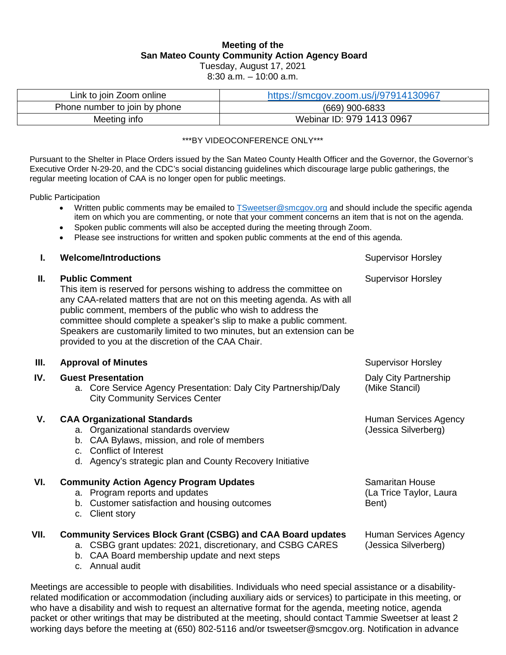# **Meeting of the San Mateo County Community Action Agency Board**

Tuesday, August 17, 2021

8:30 a.m. – 10:00 a.m.

| Link to join Zoom online      | https://smcgov.zoom.us/j/97914130967 |  |
|-------------------------------|--------------------------------------|--|
| Phone number to join by phone | (669) 900-6833                       |  |
| Meeting info                  | Webinar ID: 979 1413 0967            |  |

#### \*\*\*BY VIDEOCONFERENCE ONLY\*\*\*

Pursuant to the Shelter in Place Orders issued by the San Mateo County Health Officer and the Governor, the Governor's Executive Order N-29-20, and the CDC's social distancing guidelines which discourage large public gatherings, the regular meeting location of CAA is no longer open for public meetings.

Public Participation

- Written public comments may be emailed to [TSweetser@smcgov.org](mailto:TSweetser@smcgov.org) and should include the specific agenda item on which you are commenting, or note that your comment concerns an item that is not on the agenda.
- Spoken public comments will also be accepted during the meeting through Zoom.
- Please see instructions for written and spoken public comments at the end of this agenda.

| I.   | <b>Welcome/Introductions</b>                                                                                                                                                                                                                                                                                                                                                                                                                           | <b>Supervisor Horsley</b>                                  |
|------|--------------------------------------------------------------------------------------------------------------------------------------------------------------------------------------------------------------------------------------------------------------------------------------------------------------------------------------------------------------------------------------------------------------------------------------------------------|------------------------------------------------------------|
| П.   | <b>Public Comment</b><br>This item is reserved for persons wishing to address the committee on<br>any CAA-related matters that are not on this meeting agenda. As with all<br>public comment, members of the public who wish to address the<br>committee should complete a speaker's slip to make a public comment.<br>Speakers are customarily limited to two minutes, but an extension can be<br>provided to you at the discretion of the CAA Chair. | <b>Supervisor Horsley</b>                                  |
| Ш.   | <b>Approval of Minutes</b>                                                                                                                                                                                                                                                                                                                                                                                                                             | <b>Supervisor Horsley</b>                                  |
| IV.  | <b>Guest Presentation</b><br>a. Core Service Agency Presentation: Daly City Partnership/Daly<br><b>City Community Services Center</b>                                                                                                                                                                                                                                                                                                                  | Daly City Partnership<br>(Mike Stancil)                    |
| V.   | <b>CAA Organizational Standards</b><br>a. Organizational standards overview<br>b. CAA Bylaws, mission, and role of members<br>c. Conflict of Interest<br>d. Agency's strategic plan and County Recovery Initiative                                                                                                                                                                                                                                     | Human Services Agency<br>(Jessica Silverberg)              |
| VI.  | <b>Community Action Agency Program Updates</b><br>a. Program reports and updates<br>b. Customer satisfaction and housing outcomes<br><b>Client story</b><br>C.                                                                                                                                                                                                                                                                                         | <b>Samaritan House</b><br>(La Trice Taylor, Laura<br>Bent) |
| VII. | <b>Community Services Block Grant (CSBG) and CAA Board updates</b><br>a. CSBG grant updates: 2021, discretionary, and CSBG CARES<br>b. CAA Board membership update and next steps<br>- Annual audit<br>C.                                                                                                                                                                                                                                              | Human Services Agency<br>(Jessica Silverberg)              |

Meetings are accessible to people with disabilities. Individuals who need special assistance or a disabilityrelated modification or accommodation (including auxiliary aids or services) to participate in this meeting, or who have a disability and wish to request an alternative format for the agenda, meeting notice, agenda packet or other writings that may be distributed at the meeting, should contact Tammie Sweetser at least 2 working days before the meeting at (650) 802-5116 and/or tsweetser@smcgov.org. Notification in advance